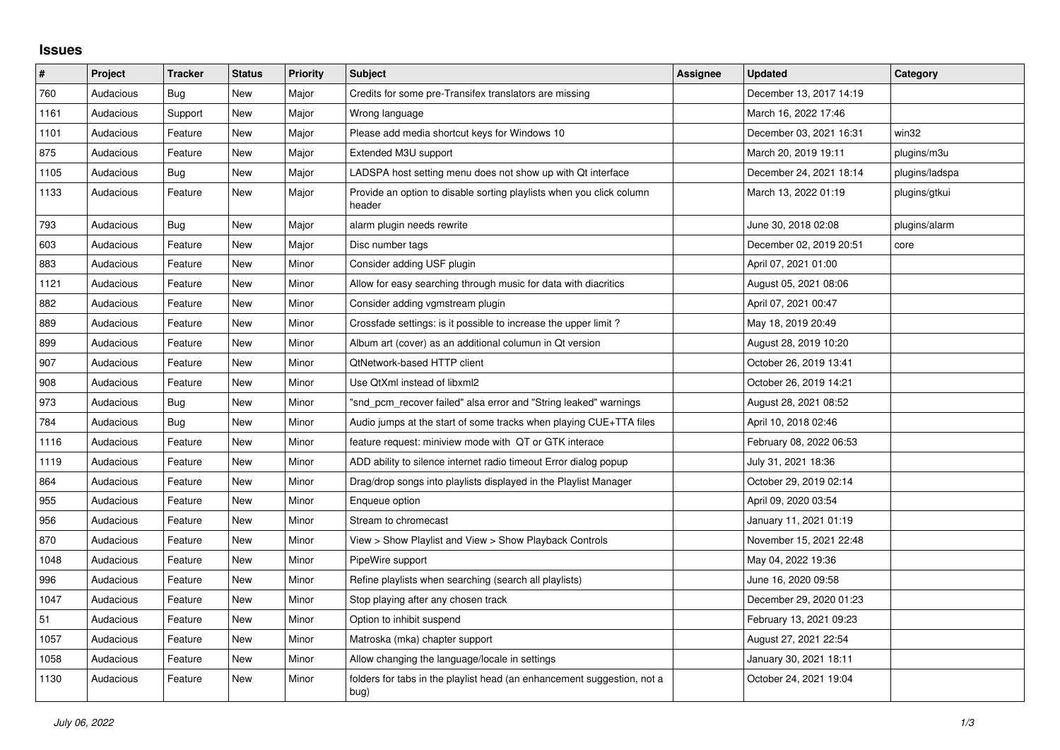## **Issues**

| $\pmb{\#}$ | Project   | <b>Tracker</b> | <b>Status</b> | <b>Priority</b> | <b>Subject</b>                                                                  | Assignee | <b>Updated</b>          | Category       |
|------------|-----------|----------------|---------------|-----------------|---------------------------------------------------------------------------------|----------|-------------------------|----------------|
| 760        | Audacious | Bug            | New           | Major           | Credits for some pre-Transifex translators are missing                          |          | December 13, 2017 14:19 |                |
| 1161       | Audacious | Support        | New           | Major           | Wrong language                                                                  |          | March 16, 2022 17:46    |                |
| 1101       | Audacious | Feature        | New           | Major           | Please add media shortcut keys for Windows 10                                   |          | December 03, 2021 16:31 | win32          |
| 875        | Audacious | Feature        | New           | Major           | Extended M3U support                                                            |          | March 20, 2019 19:11    | plugins/m3u    |
| 1105       | Audacious | Bug            | New           | Major           | LADSPA host setting menu does not show up with Qt interface                     |          | December 24, 2021 18:14 | plugins/ladspa |
| 1133       | Audacious | Feature        | New           | Major           | Provide an option to disable sorting playlists when you click column<br>header  |          | March 13, 2022 01:19    | plugins/gtkui  |
| 793        | Audacious | Bug            | New           | Major           | alarm plugin needs rewrite                                                      |          | June 30, 2018 02:08     | plugins/alarm  |
| 603        | Audacious | Feature        | <b>New</b>    | Major           | Disc number tags                                                                |          | December 02, 2019 20:51 | core           |
| 883        | Audacious | Feature        | New           | Minor           | Consider adding USF plugin                                                      |          | April 07, 2021 01:00    |                |
| 1121       | Audacious | Feature        | New           | Minor           | Allow for easy searching through music for data with diacritics                 |          | August 05, 2021 08:06   |                |
| 882        | Audacious | Feature        | New           | Minor           | Consider adding vgmstream plugin                                                |          | April 07, 2021 00:47    |                |
| 889        | Audacious | Feature        | New           | Minor           | Crossfade settings: is it possible to increase the upper limit?                 |          | May 18, 2019 20:49      |                |
| 899        | Audacious | Feature        | New           | Minor           | Album art (cover) as an additional columun in Qt version                        |          | August 28, 2019 10:20   |                |
| 907        | Audacious | Feature        | New           | Minor           | <b>QtNetwork-based HTTP client</b>                                              |          | October 26, 2019 13:41  |                |
| 908        | Audacious | Feature        | New           | Minor           | Use QtXml instead of libxml2                                                    |          | October 26, 2019 14:21  |                |
| 973        | Audacious | Bug            | New           | Minor           | "snd_pcm_recover failed" alsa error and "String leaked" warnings                |          | August 28, 2021 08:52   |                |
| 784        | Audacious | Bug            | New           | Minor           | Audio jumps at the start of some tracks when playing CUE+TTA files              |          | April 10, 2018 02:46    |                |
| 1116       | Audacious | Feature        | <b>New</b>    | Minor           | feature request: miniview mode with QT or GTK interace                          |          | February 08, 2022 06:53 |                |
| 1119       | Audacious | Feature        | New           | Minor           | ADD ability to silence internet radio timeout Error dialog popup                |          | July 31, 2021 18:36     |                |
| 864        | Audacious | Feature        | New           | Minor           | Drag/drop songs into playlists displayed in the Playlist Manager                |          | October 29, 2019 02:14  |                |
| 955        | Audacious | Feature        | New           | Minor           | Enqueue option                                                                  |          | April 09, 2020 03:54    |                |
| 956        | Audacious | Feature        | New           | Minor           | Stream to chromecast                                                            |          | January 11, 2021 01:19  |                |
| 870        | Audacious | Feature        | New           | Minor           | View > Show Playlist and View > Show Playback Controls                          |          | November 15, 2021 22:48 |                |
| 1048       | Audacious | Feature        | New           | Minor           | PipeWire support                                                                |          | May 04, 2022 19:36      |                |
| 996        | Audacious | Feature        | New           | Minor           | Refine playlists when searching (search all playlists)                          |          | June 16, 2020 09:58     |                |
| 1047       | Audacious | Feature        | New           | Minor           | Stop playing after any chosen track                                             |          | December 29, 2020 01:23 |                |
| 51         | Audacious | Feature        | <b>New</b>    | Minor           | Option to inhibit suspend                                                       |          | February 13, 2021 09:23 |                |
| 1057       | Audacious | Feature        | New           | Minor           | Matroska (mka) chapter support                                                  |          | August 27, 2021 22:54   |                |
| 1058       | Audacious | Feature        | New           | Minor           | Allow changing the language/locale in settings                                  |          | January 30, 2021 18:11  |                |
| 1130       | Audacious | Feature        | <b>New</b>    | Minor           | folders for tabs in the playlist head (an enhancement suggestion, not a<br>bug) |          | October 24, 2021 19:04  |                |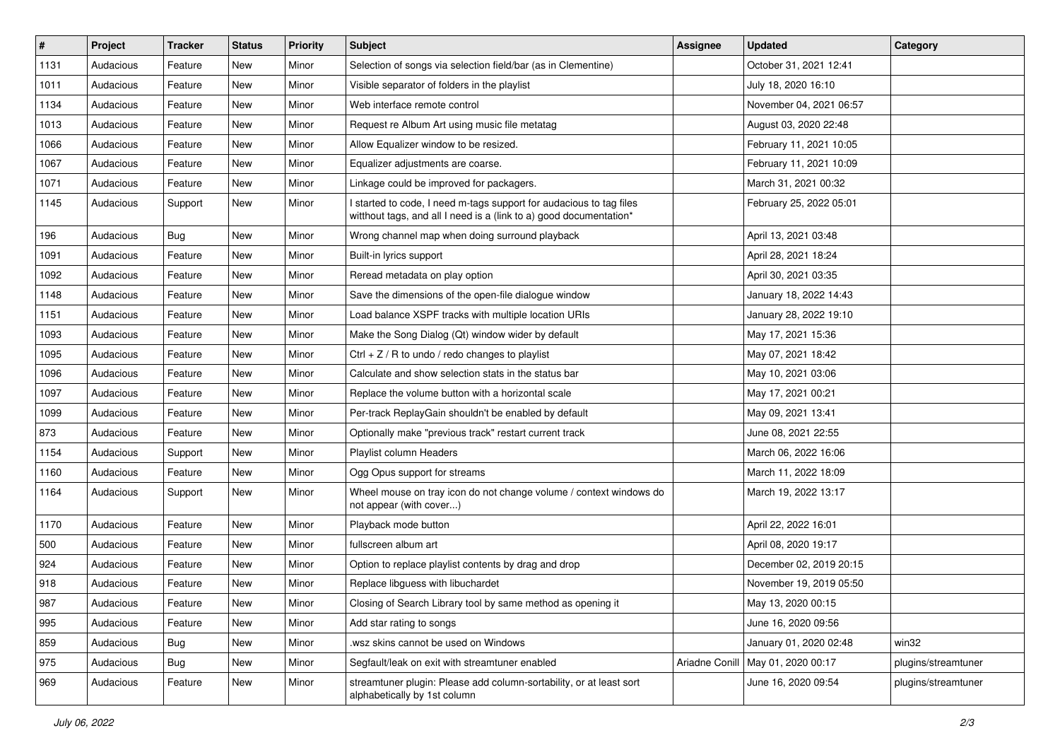| $\#$ | Project   | <b>Tracker</b> | <b>Status</b> | <b>Priority</b> | <b>Subject</b>                                                                                                                            | <b>Assignee</b> | <b>Updated</b>          | Category            |
|------|-----------|----------------|---------------|-----------------|-------------------------------------------------------------------------------------------------------------------------------------------|-----------------|-------------------------|---------------------|
| 1131 | Audacious | Feature        | New           | Minor           | Selection of songs via selection field/bar (as in Clementine)                                                                             |                 | October 31, 2021 12:41  |                     |
| 1011 | Audacious | Feature        | New           | Minor           | Visible separator of folders in the playlist                                                                                              |                 | July 18, 2020 16:10     |                     |
| 1134 | Audacious | Feature        | New           | Minor           | Web interface remote control                                                                                                              |                 | November 04, 2021 06:57 |                     |
| 1013 | Audacious | Feature        | New           | Minor           | Request re Album Art using music file metatag                                                                                             |                 | August 03, 2020 22:48   |                     |
| 1066 | Audacious | Feature        | New           | Minor           | Allow Equalizer window to be resized.                                                                                                     |                 | February 11, 2021 10:05 |                     |
| 1067 | Audacious | Feature        | New           | Minor           | Equalizer adjustments are coarse.                                                                                                         |                 | February 11, 2021 10:09 |                     |
| 1071 | Audacious | Feature        | New           | Minor           | Linkage could be improved for packagers.                                                                                                  |                 | March 31, 2021 00:32    |                     |
| 1145 | Audacious | Support        | New           | Minor           | I started to code, I need m-tags support for audacious to tag files<br>witthout tags, and all I need is a (link to a) good documentation* |                 | February 25, 2022 05:01 |                     |
| 196  | Audacious | Bug            | New           | Minor           | Wrong channel map when doing surround playback                                                                                            |                 | April 13, 2021 03:48    |                     |
| 1091 | Audacious | Feature        | New           | Minor           | Built-in lyrics support                                                                                                                   |                 | April 28, 2021 18:24    |                     |
| 1092 | Audacious | Feature        | New           | Minor           | Reread metadata on play option                                                                                                            |                 | April 30, 2021 03:35    |                     |
| 1148 | Audacious | Feature        | New           | Minor           | Save the dimensions of the open-file dialogue window                                                                                      |                 | January 18, 2022 14:43  |                     |
| 1151 | Audacious | Feature        | New           | Minor           | Load balance XSPF tracks with multiple location URIs                                                                                      |                 | January 28, 2022 19:10  |                     |
| 1093 | Audacious | Feature        | New           | Minor           | Make the Song Dialog (Qt) window wider by default                                                                                         |                 | May 17, 2021 15:36      |                     |
| 1095 | Audacious | Feature        | New           | Minor           | Ctrl + $Z$ / R to undo / redo changes to playlist                                                                                         |                 | May 07, 2021 18:42      |                     |
| 1096 | Audacious | Feature        | New           | Minor           | Calculate and show selection stats in the status bar                                                                                      |                 | May 10, 2021 03:06      |                     |
| 1097 | Audacious | Feature        | New           | Minor           | Replace the volume button with a horizontal scale                                                                                         |                 | May 17, 2021 00:21      |                     |
| 1099 | Audacious | Feature        | New           | Minor           | Per-track ReplayGain shouldn't be enabled by default                                                                                      |                 | May 09, 2021 13:41      |                     |
| 873  | Audacious | Feature        | New           | Minor           | Optionally make "previous track" restart current track                                                                                    |                 | June 08, 2021 22:55     |                     |
| 1154 | Audacious | Support        | New           | Minor           | Playlist column Headers                                                                                                                   |                 | March 06, 2022 16:06    |                     |
| 1160 | Audacious | Feature        | New           | Minor           | Ogg Opus support for streams                                                                                                              |                 | March 11, 2022 18:09    |                     |
| 1164 | Audacious | Support        | New           | Minor           | Wheel mouse on tray icon do not change volume / context windows do<br>not appear (with cover)                                             |                 | March 19, 2022 13:17    |                     |
| 1170 | Audacious | Feature        | New           | Minor           | Playback mode button                                                                                                                      |                 | April 22, 2022 16:01    |                     |
| 500  | Audacious | Feature        | New           | Minor           | fullscreen album art                                                                                                                      |                 | April 08, 2020 19:17    |                     |
| 924  | Audacious | Feature        | New           | Minor           | Option to replace playlist contents by drag and drop                                                                                      |                 | December 02, 2019 20:15 |                     |
| 918  | Audacious | Feature        | New           | Minor           | Replace libguess with libuchardet                                                                                                         |                 | November 19, 2019 05:50 |                     |
| 987  | Audacious | Feature        | New           | Minor           | Closing of Search Library tool by same method as opening it                                                                               |                 | May 13, 2020 00:15      |                     |
| 995  | Audacious | Feature        | New           | Minor           | Add star rating to songs                                                                                                                  |                 | June 16, 2020 09:56     |                     |
| 859  | Audacious | <b>Bug</b>     | New           | Minor           | .wsz skins cannot be used on Windows                                                                                                      |                 | January 01, 2020 02:48  | win32               |
| 975  | Audacious | <b>Bug</b>     | New           | Minor           | Segfault/leak on exit with streamtuner enabled                                                                                            | Ariadne Conill  | May 01, 2020 00:17      | plugins/streamtuner |
| 969  | Audacious | Feature        | New           | Minor           | streamtuner plugin: Please add column-sortability, or at least sort<br>alphabetically by 1st column                                       |                 | June 16, 2020 09:54     | plugins/streamtuner |